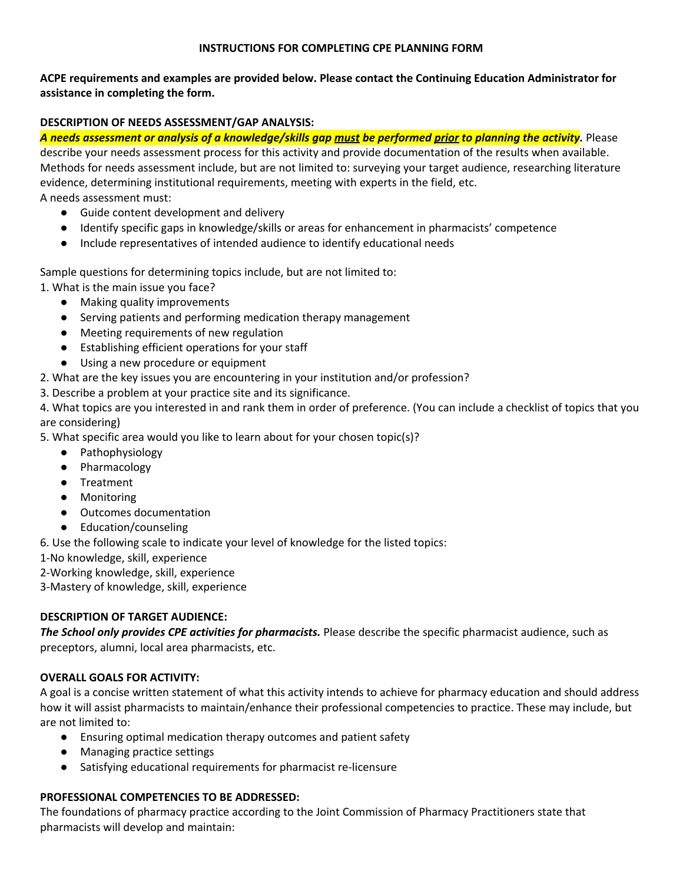#### **INSTRUCTIONS FOR COMPLETING CPE PLANNING FORM**

**ACPE requirements and examples are provided below. Please contact the Continuing Education Administrator for assistance in completing the form.**

## **DESCRIPTION OF NEEDS ASSESSMENT/GAP ANALYSIS:**

A needs assessment or analysis of a knowledge/skills gap must be performed prior to planning the activity. Please describe your needs assessment process for this activity and provide documentation of the results when available. Methods for needs assessment include, but are not limited to: surveying your target audience, researching literature evidence, determining institutional requirements, meeting with experts in the field, etc.

A needs assessment must:

- Guide content development and delivery
- Identify specific gaps in knowledge/skills or areas for enhancement in pharmacists' competence
- Include representatives of intended audience to identify educational needs

Sample questions for determining topics include, but are not limited to:

1. What is the main issue you face?

- Making quality improvements
- Serving patients and performing medication therapy management
- Meeting requirements of new regulation
- Establishing efficient operations for your staff
- Using a new procedure or equipment
- 2. What are the key issues you are encountering in your institution and/or profession?

3. Describe a problem at your practice site and its significance.

4. What topics are you interested in and rank them in order of preference. (You can include a checklist of topics that you are considering)

5. What specific area would you like to learn about for your chosen topic(s)?

- Pathophysiology
- Pharmacology
- Treatment
- Monitoring
- Outcomes documentation
- Education/counseling

6. Use the following scale to indicate your level of knowledge for the listed topics:

1-No knowledge, skill, experience

2-Working knowledge, skill, experience

3-Mastery of knowledge, skill, experience

### **DESCRIPTION OF TARGET AUDIENCE:**

*The School only provides CPE activities for pharmacists.* Please describe the specific pharmacist audience, such as preceptors, alumni, local area pharmacists, etc.

### **OVERALL GOALS FOR ACTIVITY:**

A goal is a concise written statement of what this activity intends to achieve for pharmacy education and should address how it will assist pharmacists to maintain/enhance their professional competencies to practice. These may include, but are not limited to:

- Ensuring optimal medication therapy outcomes and patient safety
- Managing practice settings
- Satisfying educational requirements for pharmacist re-licensure

## **PROFESSIONAL COMPETENCIES TO BE ADDRESSED:**

The foundations of pharmacy practice according to the Joint Commission of Pharmacy Practitioners state that pharmacists will develop and maintain: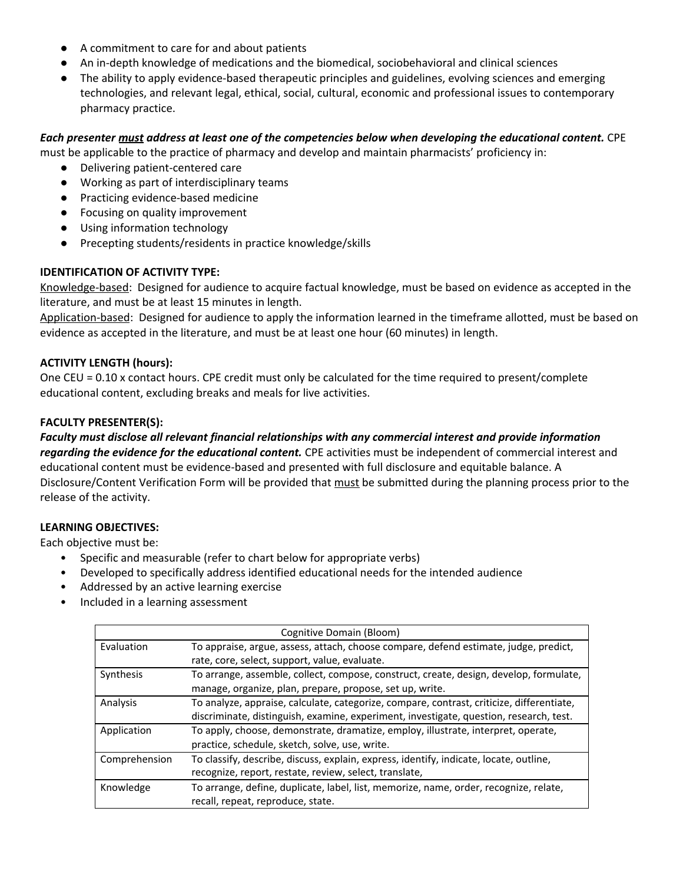- A commitment to care for and about patients
- An in-depth knowledge of medications and the biomedical, sociobehavioral and clinical sciences
- The ability to apply evidence-based therapeutic principles and guidelines, evolving sciences and emerging technologies, and relevant legal, ethical, social, cultural, economic and professional issues to contemporary pharmacy practice.

### *Each presenter must address at least one of the competencies below when developing the educational content.* CPE

must be applicable to the practice of pharmacy and develop and maintain pharmacists' proficiency in:

- Delivering patient-centered care
- Working as part of interdisciplinary teams
- Practicing evidence-based medicine
- Focusing on quality improvement
- Using information technology
- Precepting students/residents in practice knowledge/skills

## **IDENTIFICATION OF ACTIVITY TYPE:**

Knowledge-based: Designed for audience to acquire factual knowledge, must be based on evidence as accepted in the literature, and must be at least 15 minutes in length.

Application-based: Designed for audience to apply the information learned in the timeframe allotted, must be based on evidence as accepted in the literature, and must be at least one hour (60 minutes) in length.

### **ACTIVITY LENGTH (hours):**

One CEU = 0.10 x contact hours. CPE credit must only be calculated for the time required to present/complete educational content, excluding breaks and meals for live activities.

## **FACULTY PRESENTER(S):**

*Faculty must disclose all relevant financial relationships with any commercial interest and provide information regarding the evidence for the educational content.* CPE activities must be independent of commercial interest and educational content must be evidence-based and presented with full disclosure and equitable balance. A Disclosure/Content Verification Form will be provided that must be submitted during the planning process prior to the release of the activity.

### **LEARNING OBJECTIVES:**

Each objective must be:

- Specific and measurable (refer to chart below for appropriate verbs)
- Developed to specifically address identified educational needs for the intended audience
- Addressed by an active learning exercise
- Included in a learning assessment

| Cognitive Domain (Bloom) |                                                                                           |  |  |
|--------------------------|-------------------------------------------------------------------------------------------|--|--|
| Evaluation               | To appraise, argue, assess, attach, choose compare, defend estimate, judge, predict,      |  |  |
|                          | rate, core, select, support, value, evaluate.                                             |  |  |
| Synthesis                | To arrange, assemble, collect, compose, construct, create, design, develop, formulate,    |  |  |
|                          | manage, organize, plan, prepare, propose, set up, write.                                  |  |  |
| Analysis                 | To analyze, appraise, calculate, categorize, compare, contrast, criticize, differentiate, |  |  |
|                          | discriminate, distinguish, examine, experiment, investigate, question, research, test.    |  |  |
| Application              | To apply, choose, demonstrate, dramatize, employ, illustrate, interpret, operate,         |  |  |
|                          | practice, schedule, sketch, solve, use, write.                                            |  |  |
| Comprehension            | To classify, describe, discuss, explain, express, identify, indicate, locate, outline,    |  |  |
|                          | recognize, report, restate, review, select, translate,                                    |  |  |
| Knowledge                | To arrange, define, duplicate, label, list, memorize, name, order, recognize, relate,     |  |  |
|                          | recall, repeat, reproduce, state.                                                         |  |  |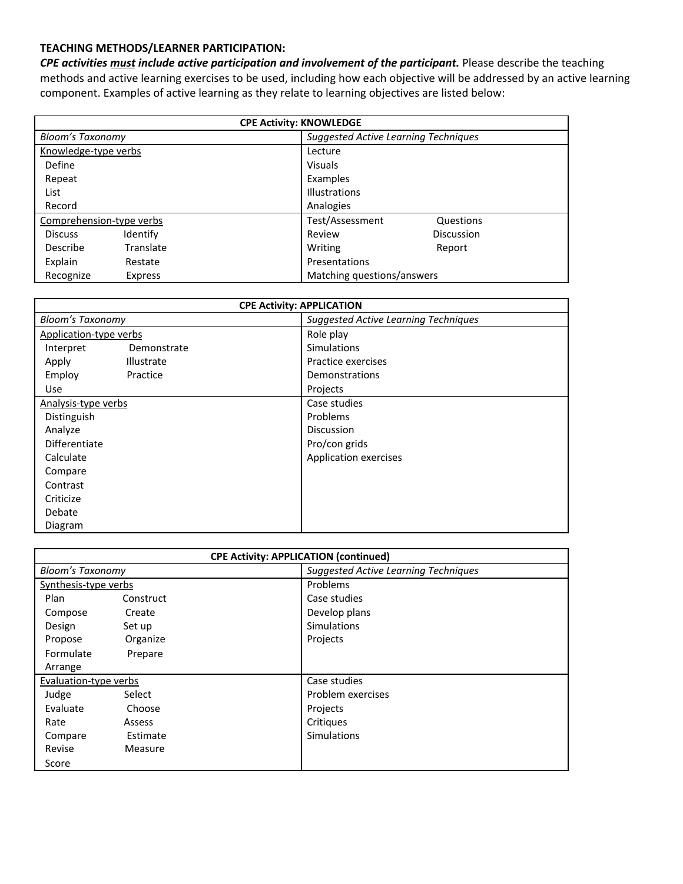#### **TEACHING METHODS/LEARNER PARTICIPATION:**

*CPE activities must include active participation and involvement of the participant.* Please describe the teaching methods and active learning exercises to be used, including how each objective will be addressed by an active learning component. Examples of active learning as they relate to learning objectives are listed below:

| <b>CPE Activity: KNOWLEDGE</b> |                                      |  |  |  |
|--------------------------------|--------------------------------------|--|--|--|
| <b>Bloom's Taxonomy</b>        | Suggested Active Learning Techniques |  |  |  |
| Knowledge-type verbs           | Lecture                              |  |  |  |
| Define                         | <b>Visuals</b>                       |  |  |  |
| Repeat                         | Examples                             |  |  |  |
| List                           | <b>Illustrations</b>                 |  |  |  |
| Record                         | Analogies                            |  |  |  |
| Comprehension-type verbs       | Test/Assessment<br>Questions         |  |  |  |
| Identify<br><b>Discuss</b>     | Discussion<br>Review                 |  |  |  |
| Translate<br>Describe          | Writing<br>Report                    |  |  |  |
| Explain<br>Restate             | Presentations                        |  |  |  |
| Recognize<br>Express           | Matching questions/answers           |  |  |  |

| <b>CPE Activity: APPLICATION</b> |             |                                             |  |  |
|----------------------------------|-------------|---------------------------------------------|--|--|
| <b>Bloom's Taxonomy</b>          |             | <b>Suggested Active Learning Techniques</b> |  |  |
| Application-type verbs           |             | Role play                                   |  |  |
| Interpret                        | Demonstrate | <b>Simulations</b>                          |  |  |
| Apply                            | Illustrate  | Practice exercises                          |  |  |
| Employ                           | Practice    | <b>Demonstrations</b>                       |  |  |
| Use                              |             | Projects                                    |  |  |
| Analysis-type verbs              |             | Case studies                                |  |  |
| Distinguish                      |             | Problems                                    |  |  |
| Analyze                          |             | Discussion                                  |  |  |
| Differentiate                    |             | Pro/con grids                               |  |  |
| Calculate                        |             | Application exercises                       |  |  |
| Compare                          |             |                                             |  |  |
| Contrast                         |             |                                             |  |  |
| Criticize                        |             |                                             |  |  |
| Debate                           |             |                                             |  |  |
| Diagram                          |             |                                             |  |  |

| <b>CPE Activity: APPLICATION (continued)</b> |           |                                             |  |  |
|----------------------------------------------|-----------|---------------------------------------------|--|--|
| <b>Bloom's Taxonomy</b>                      |           | <b>Suggested Active Learning Techniques</b> |  |  |
| Synthesis-type verbs                         |           | Problems                                    |  |  |
| Plan                                         | Construct | Case studies                                |  |  |
| Compose                                      | Create    | Develop plans                               |  |  |
| Design                                       | Set up    | <b>Simulations</b>                          |  |  |
| Propose                                      | Organize  | Projects                                    |  |  |
| Formulate                                    | Prepare   |                                             |  |  |
| Arrange                                      |           |                                             |  |  |
| <b>Evaluation-type verbs</b>                 |           | Case studies                                |  |  |
| Judge                                        | Select    | Problem exercises                           |  |  |
| Evaluate                                     | Choose    | Projects                                    |  |  |
| Rate                                         | Assess    | Critiques                                   |  |  |
| Compare                                      | Estimate  | <b>Simulations</b>                          |  |  |
| Revise                                       | Measure   |                                             |  |  |
| Score                                        |           |                                             |  |  |